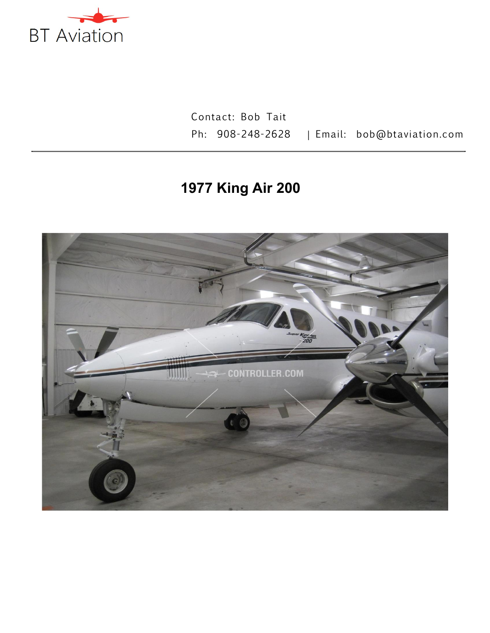

Contact: Bob Tait Ph: 908-248-2628 | Email: bob@btaviation.com

# **1977 King Air 200**

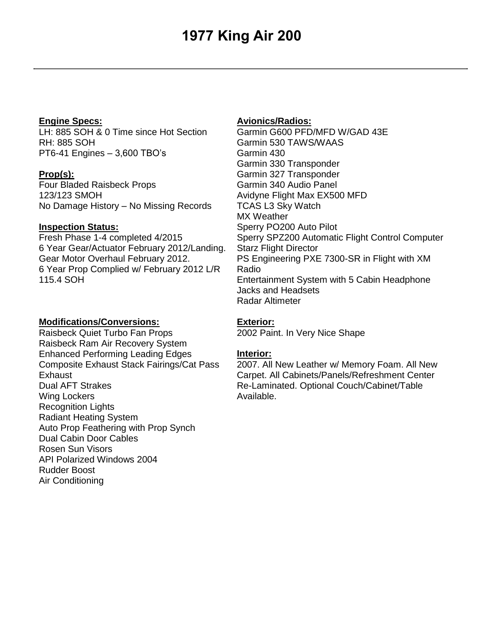## **1977 King Air 200**

#### **Engine Specs:**

LH: 885 SOH & 0 Time since Hot Section RH: 885 SOH PT6-41 Engines – 3,600 TBO's

**Prop(s):**  Four Bladed Raisbeck Props 123/123 SMOH No Damage History – No Missing Records

#### **Inspection Status:**

Fresh Phase 1-4 completed 4/2015 6 Year Gear/Actuator February 2012/Landing. Gear Motor Overhaul February 2012. 6 Year Prop Complied w/ February 2012 L/R 115.4 SOH

#### **Modifications/Conversions:**

Raisbeck Quiet Turbo Fan Props Raisbeck Ram Air Recovery System Enhanced Performing Leading Edges Composite Exhaust Stack Fairings/Cat Pass **Exhaust** Dual AFT Strakes Wing Lockers Recognition Lights Radiant Heating System Auto Prop Feathering with Prop Synch Dual Cabin Door Cables Rosen Sun Visors API Polarized Windows 2004 Rudder Boost Air Conditioning

#### **Avionics/Radios:**

Garmin G600 PFD/MFD W/GAD 43E Garmin 530 TAWS/WAAS Garmin 430 Garmin 330 Transponder Garmin 327 Transponder Garmin 340 Audio Panel Avidyne Flight Max EX500 MFD TCAS L3 Sky Watch MX Weather Sperry PO200 Auto Pilot Sperry SPZ200 Automatic Flight Control Computer Starz Flight Director PS Engineering PXE 7300-SR in Flight with XM Radio Entertainment System with 5 Cabin Headphone Jacks and Headsets Radar Altimeter

### **Exterior:**

2002 Paint. In Very Nice Shape

### **Interior:**

2007. All New Leather w/ Memory Foam. All New Carpet. All Cabinets/Panels/Refreshment Center Re-Laminated. Optional Couch/Cabinet/Table Available.